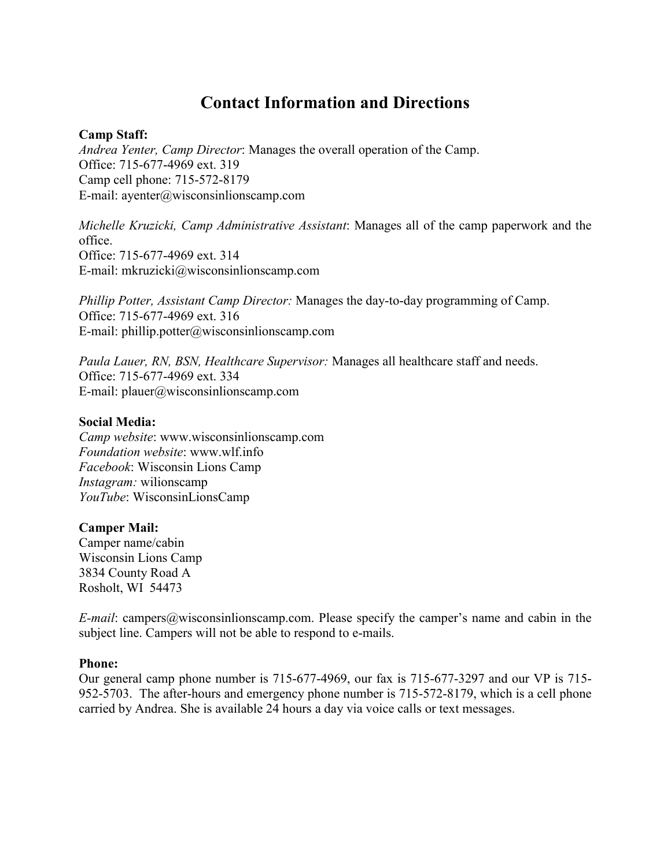# **Contact Information and Directions**

## **Camp Staff:**

*Andrea Yenter, Camp Director*: Manages the overall operation of the Camp. Office: 715-677-4969 ext. 319 Camp cell phone: 715-572-8179 E-mail: ayenter@wisconsinlionscamp.com

*Michelle Kruzicki, Camp Administrative Assistant*: Manages all of the camp paperwork and the office. Office: 715-677-4969 ext. 314 E-mail: mkruzicki@wisconsinlionscamp.com

*Phillip Potter, Assistant Camp Director:* Manages the day-to-day programming of Camp. Office: 715-677-4969 ext. 316 E-mail: phillip.potter@wisconsinlionscamp.com

*Paula Lauer, RN, BSN, Healthcare Supervisor:* Manages all healthcare staff and needs. Office: 715-677-4969 ext. 334 E-mail: plauer@wisconsinlionscamp.com

## **Social Media:**

*Camp website*: www.wisconsinlionscamp.com *Foundation website*: www.wlf.info *Facebook*: Wisconsin Lions Camp *Instagram:* wilionscamp *YouTube*: WisconsinLionsCamp

### **Camper Mail:**

Camper name/cabin Wisconsin Lions Camp 3834 County Road A Rosholt, WI 54473

*E-mail*: campers@wisconsinlionscamp.com. Please specify the camper's name and cabin in the subject line. Campers will not be able to respond to e-mails.

### **Phone:**

Our general camp phone number is 715-677-4969, our fax is 715-677-3297 and our VP is 715- 952-5703. The after-hours and emergency phone number is 715-572-8179, which is a cell phone carried by Andrea. She is available 24 hours a day via voice calls or text messages.